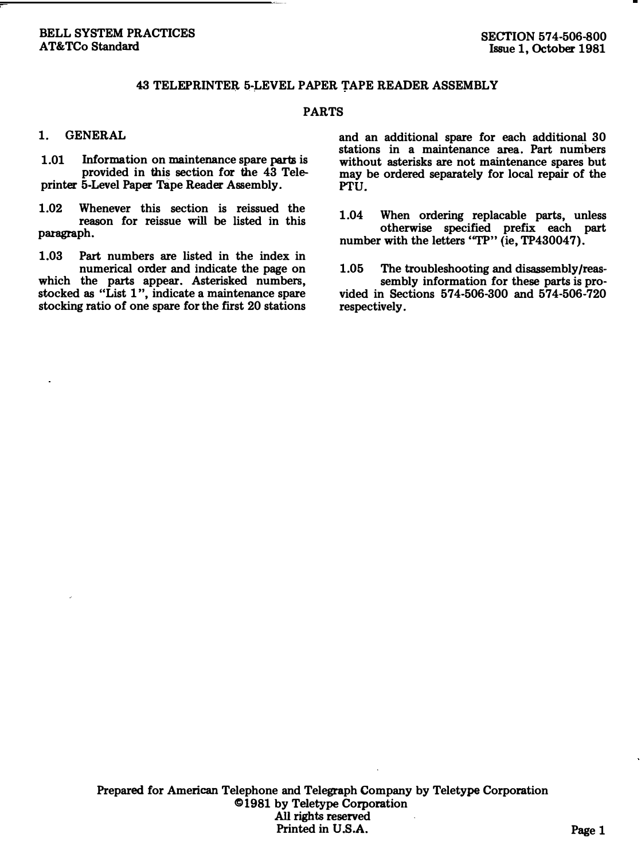### 43 TELEPRINTER 5-LEVEL PAPER TAPE READER ASSEMBLY

#### PARTS

#### 1. GENERAL

1.01 Information on maintenance spare parts is provided in this section for the 43 Teleprinter 5-Level Paper Tape Reader Assembly.

1.02 Whenever this section is reissued the reason for reissue will be listed in this paragraph.

1.03 Part numbers are listed in the index in numerical order and indicate the page on which the parts appear. Asterisked numbers, stocked as "List 1 ", indicate a maintenance spare stocking ratio of one spare for the first 20 stations

and an additional spare for each additional 30 stations in a maintenance area. Part numbers without asterisks are not maintenance spares but may be ordered separately for local repair of the PTU.

1.04 When ordering replacable parts, unless otherwise specified prefix each part number with the letters "TP" (ie, TP430047).

1.05 The troubleshooting and disassembly/reassembly information for these parts is provided in Sections 574-506-300 and 574-506-720 respectively.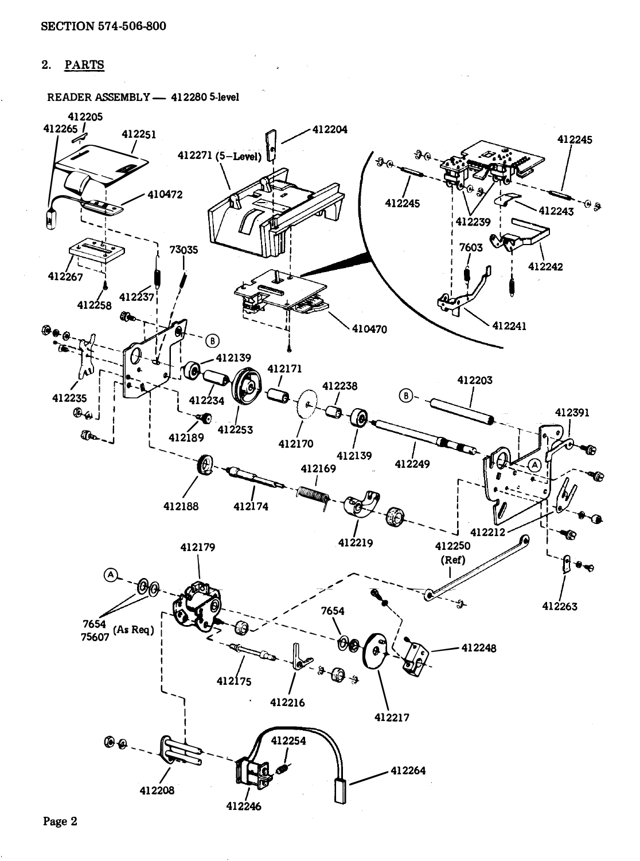# 2. PARTS